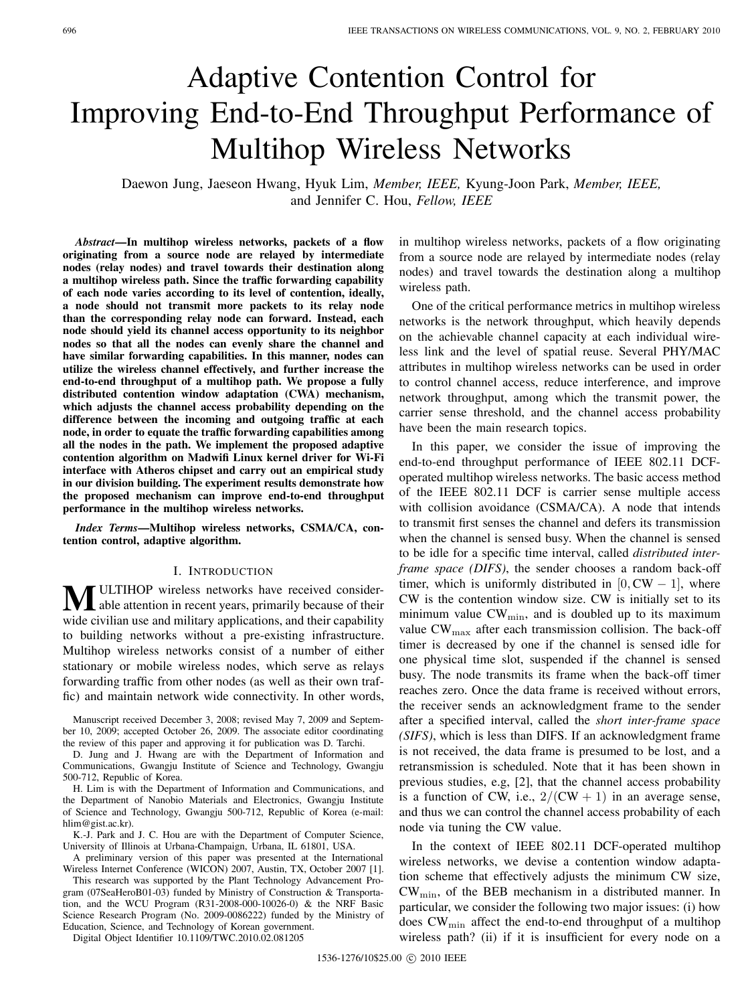# Adaptive Contention Control for Improving End-to-End Throughput Performance of Multihop Wireless Networks

Daewon Jung, Jaeseon Hwang, Hyuk Lim, *Member, IEEE,* Kyung-Joon Park, *Member, IEEE,* and Jennifer C. Hou, *Fellow, IEEE*

*Abstract***—In multihop wireless networks, packets of a flow originating from a source node are relayed by intermediate nodes (relay nodes) and travel towards their destination along a multihop wireless path. Since the traffic forwarding capability of each node varies according to its level of contention, ideally, a node should not transmit more packets to its relay node than the corresponding relay node can forward. Instead, each node should yield its channel access opportunity to its neighbor nodes so that all the nodes can evenly share the channel and have similar forwarding capabilities. In this manner, nodes can utilize the wireless channel effectively, and further increase the end-to-end throughput of a multihop path. We propose a fully distributed contention window adaptation (CWA) mechanism, which adjusts the channel access probability depending on the difference between the incoming and outgoing traffic at each node, in order to equate the traffic forwarding capabilities among all the nodes in the path. We implement the proposed adaptive contention algorithm on Madwifi Linux kernel driver for Wi-Fi interface with Atheros chipset and carry out an empirical study in our division building. The experiment results demonstrate how the proposed mechanism can improve end-to-end throughput performance in the multihop wireless networks.**

*Index Terms***—Multihop wireless networks, CSMA/CA, contention control, adaptive algorithm.**

## I. INTRODUCTION

**M**ULTIHOP wireless networks have received considerable attention in recent years, primarily because of their wide civilian use and military applications, and their capability to building networks without a pre-existing infrastructure. Multihop wireless networks consist of a number of either stationary or mobile wireless nodes, which serve as relays forwarding traffic from other nodes (as well as their own traffic) and maintain network wide connectivity. In other words,

Manuscript received December 3, 2008; revised May 7, 2009 and September 10, 2009; accepted October 26, 2009. The associate editor coordinating the review of this paper and approving it for publication was D. Tarchi.

D. Jung and J. Hwang are with the Department of Information and Communications, Gwangju Institute of Science and Technology, Gwangju 500-712, Republic of Korea.

H. Lim is with the Department of Information and Communications, and the Department of Nanobio Materials and Electronics, Gwangju Institute of Science and Technology, Gwangju 500-712, Republic of Korea (e-mail: hlim@gist.ac.kr).

K.-J. Park and J. C. Hou are with the Department of Computer Science, University of Illinois at Urbana-Champaign, Urbana, IL 61801, USA.

A preliminary version of this paper was presented at the International Wireless Internet Conference (WICON) 2007, Austin, TX, October 2007 [1].

This research was supported by the Plant Technology Advancement Program (07SeaHeroB01-03) funded by Ministry of Construction & Transportation, and the WCU Program (R31-2008-000-10026-0) & the NRF Basic Science Research Program (No. 2009-0086222) funded by the Ministry of Education, Science, and Technology of Korean government.

Digital Object Identifier 10.1109/TWC.2010.02.081205

in multihop wireless networks, packets of a flow originating from a source node are relayed by intermediate nodes (relay nodes) and travel towards the destination along a multihop wireless path.

One of the critical performance metrics in multihop wireless networks is the network throughput, which heavily depends on the achievable channel capacity at each individual wireless link and the level of spatial reuse. Several PHY/MAC attributes in multihop wireless networks can be used in order to control channel access, reduce interference, and improve network throughput, among which the transmit power, the carrier sense threshold, and the channel access probability have been the main research topics.

In this paper, we consider the issue of improving the end-to-end throughput performance of IEEE 802.11 DCFoperated multihop wireless networks. The basic access method of the IEEE 802.11 DCF is carrier sense multiple access with collision avoidance (CSMA/CA). A node that intends to transmit first senses the channel and defers its transmission when the channel is sensed busy. When the channel is sensed to be idle for a specific time interval, called *distributed interframe space (DIFS)*, the sender chooses a random back-off timer, which is uniformly distributed in  $[0, CW - 1]$ , where CW is the contention window size. CW is initially set to its minimum value  $CW_{\text{min}}$ , and is doubled up to its maximum value CWmax after each transmission collision. The back-off timer is decreased by one if the channel is sensed idle for one physical time slot, suspended if the channel is sensed busy. The node transmits its frame when the back-off timer reaches zero. Once the data frame is received without errors, the receiver sends an acknowledgment frame to the sender after a specified interval, called the *short inter-frame space (SIFS)*, which is less than DIFS. If an acknowledgment frame is not received, the data frame is presumed to be lost, and a retransmission is scheduled. Note that it has been shown in previous studies, e.g, [2], that the channel access probability is a function of CW, i.e.,  $2/(CW + 1)$  in an average sense, and thus we can control the channel access probability of each node via tuning the CW value.

In the context of IEEE 802.11 DCF-operated multihop wireless networks, we devise a contention window adaptation scheme that effectively adjusts the minimum CW size,  $CW_{\text{min}}$ , of the BEB mechanism in a distributed manner. In particular, we consider the following two major issues: (i) how does  $CW_{\text{min}}$  affect the end-to-end throughput of a multihop wireless path? (ii) if it is insufficient for every node on a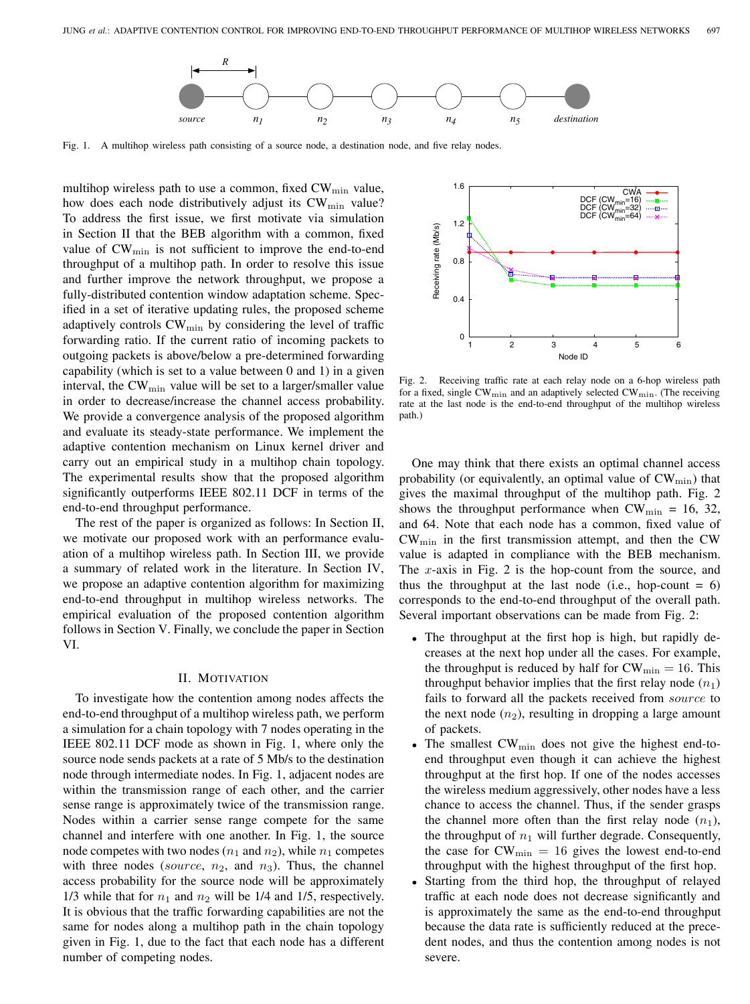

Fig. 1. A multihop wireless path consisting of a source node, a destination node, and five relay nodes.

multihop wireless path to use a common, fixed  $CW_{\text{min}}$  value, how does each node distributively adjust its  $CW_{\min}$  value? To address the first issue, we first motivate via simulation in Section II that the BEB algorithm with a common, fixed value of  $CW_{\text{min}}$  is not sufficient to improve the end-to-end throughput of a multihop path. In order to resolve this issue and further improve the network throughput, we propose a fully-distributed contention window adaptation scheme. Specified in a set of iterative updating rules, the proposed scheme adaptively controls  $CW_{\min}$  by considering the level of traffic forwarding ratio. If the current ratio of incoming packets to outgoing packets is above/below a pre-determined forwarding capability (which is set to a value between 0 and 1) in a given interval, the  $CW_{\text{min}}$  value will be set to a larger/smaller value in order to decrease/increase the channel access probability. We provide a convergence analysis of the proposed algorithm and evaluate its steady-state performance. We implement the adaptive contention mechanism on Linux kernel driver and carry out an empirical study in a multihop chain topology. The experimental results show that the proposed algorithm significantly outperforms IEEE 802.11 DCF in terms of the end-to-end throughput performance.

The rest of the paper is organized as follows: In Section II, we motivate our proposed work with an performance evaluation of a multihop wireless path. In Section III, we provide a summary of related work in the literature. In Section IV, we propose an adaptive contention algorithm for maximizing end-to-end throughput in multihop wireless networks. The empirical evaluation of the proposed contention algorithm follows in Section V. Finally, we conclude the paper in Section VI.

#### II. MOTIVATION

To investigate how the contention among nodes affects the end-to-end throughput of a multihop wireless path, we perform a simulation for a chain topology with 7 nodes operating in the IEEE 802.11 DCF mode as shown in Fig. 1, where only the source node sends packets at a rate of 5 Mb/s to the destination node through intermediate nodes. In Fig. 1, adjacent nodes are within the transmission range of each other, and the carrier sense range is approximately twice of the transmission range. Nodes within a carrier sense range compete for the same channel and interfere with one another. In Fig. 1, the source node competes with two nodes  $(n_1 \text{ and } n_2)$ , while  $n_1$  competes with three nodes (*source*,  $n_2$ , and  $n_3$ ). Thus, the channel access probability for the source node will be approximately 1/3 while that for  $n_1$  and  $n_2$  will be 1/4 and 1/5, respectively. It is obvious that the traffic forwarding capabilities are not the same for nodes along a multihop path in the chain topology given in Fig. 1, due to the fact that each node has a different number of competing nodes.



Fig. 2. Receiving traffic rate at each relay node on a 6-hop wireless path for a fixed, single  $CW_{\min}$  and an adaptively selected  $CW_{\min}$ . (The receiving rate at the last node is the end-to-end throughput of the multihop wireless path.)

One may think that there exists an optimal channel access probability (or equivalently, an optimal value of  $CW_{\text{min}}$ ) that gives the maximal throughput of the multihop path. Fig. 2 shows the throughput performance when  $CW_{\text{min}} = 16, 32,$ and 64. Note that each node has a common, fixed value of  $CW_{\text{min}}$  in the first transmission attempt, and then the CW value is adapted in compliance with the BEB mechanism. The  $x$ -axis in Fig. 2 is the hop-count from the source, and thus the throughput at the last node (i.e., hop-count  $= 6$ ) corresponds to the end-to-end throughput of the overall path. Several important observations can be made from Fig. 2:

- <sup>∙</sup> The throughput at the first hop is high, but rapidly decreases at the next hop under all the cases. For example, the throughput is reduced by half for  $CW_{\text{min}} = 16$ . This throughput behavior implies that the first relay node  $(n_1)$ fails to forward all the packets received from *source* to the next node  $(n_2)$ , resulting in dropping a large amount of packets.
- <sup>∙</sup> The smallest CWmin does not give the highest end-toend throughput even though it can achieve the highest throughput at the first hop. If one of the nodes accesses the wireless medium aggressively, other nodes have a less chance to access the channel. Thus, if the sender grasps the channel more often than the first relay node  $(n_1)$ , the throughput of  $n_1$  will further degrade. Consequently, the case for  $CW_{\text{min}} = 16$  gives the lowest end-to-end throughput with the highest throughput of the first hop.
- <sup>∙</sup> Starting from the third hop, the throughput of relayed traffic at each node does not decrease significantly and is approximately the same as the end-to-end throughput because the data rate is sufficiently reduced at the precedent nodes, and thus the contention among nodes is not severe.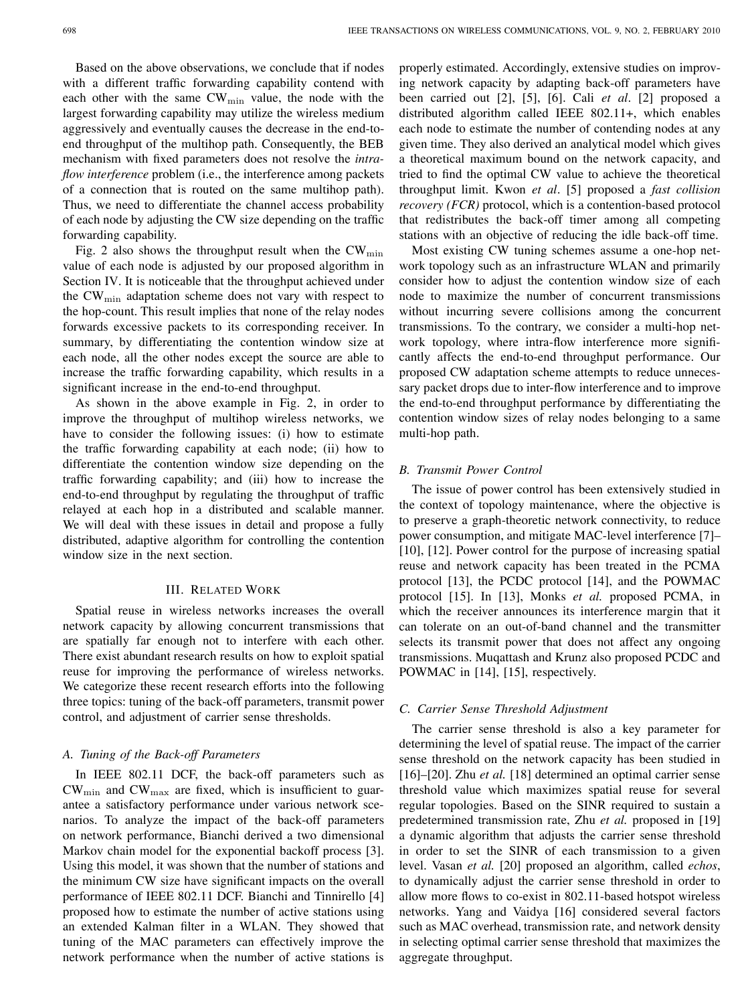Based on the above observations, we conclude that if nodes with a different traffic forwarding capability contend with each other with the same  $CW_{min}$  value, the node with the largest forwarding capability may utilize the wireless medium aggressively and eventually causes the decrease in the end-toend throughput of the multihop path. Consequently, the BEB mechanism with fixed parameters does not resolve the *intraflow interference* problem (i.e., the interference among packets of a connection that is routed on the same multihop path). Thus, we need to differentiate the channel access probability of each node by adjusting the CW size depending on the traffic forwarding capability.

Fig. 2 also shows the throughput result when the  $CW_{\text{min}}$ value of each node is adjusted by our proposed algorithm in Section IV. It is noticeable that the throughput achieved under the  $CW_{\min}$  adaptation scheme does not vary with respect to the hop-count. This result implies that none of the relay nodes forwards excessive packets to its corresponding receiver. In summary, by differentiating the contention window size at each node, all the other nodes except the source are able to increase the traffic forwarding capability, which results in a significant increase in the end-to-end throughput.

As shown in the above example in Fig. 2, in order to improve the throughput of multihop wireless networks, we have to consider the following issues: (i) how to estimate the traffic forwarding capability at each node; (ii) how to differentiate the contention window size depending on the traffic forwarding capability; and (iii) how to increase the end-to-end throughput by regulating the throughput of traffic relayed at each hop in a distributed and scalable manner. We will deal with these issues in detail and propose a fully distributed, adaptive algorithm for controlling the contention window size in the next section.

## III. RELATED WORK

Spatial reuse in wireless networks increases the overall network capacity by allowing concurrent transmissions that are spatially far enough not to interfere with each other. There exist abundant research results on how to exploit spatial reuse for improving the performance of wireless networks. We categorize these recent research efforts into the following three topics: tuning of the back-off parameters, transmit power control, and adjustment of carrier sense thresholds.

## *A. Tuning of the Back-off Parameters*

In IEEE 802.11 DCF, the back-off parameters such as  $CW_{\text{min}}$  and  $CW_{\text{max}}$  are fixed, which is insufficient to guarantee a satisfactory performance under various network scenarios. To analyze the impact of the back-off parameters on network performance, Bianchi derived a two dimensional Markov chain model for the exponential backoff process [3]. Using this model, it was shown that the number of stations and the minimum CW size have significant impacts on the overall performance of IEEE 802.11 DCF. Bianchi and Tinnirello [4] proposed how to estimate the number of active stations using an extended Kalman filter in a WLAN. They showed that tuning of the MAC parameters can effectively improve the network performance when the number of active stations is properly estimated. Accordingly, extensive studies on improving network capacity by adapting back-off parameters have been carried out [2], [5], [6]. Cali *et al*. [2] proposed a distributed algorithm called IEEE 802.11+, which enables each node to estimate the number of contending nodes at any given time. They also derived an analytical model which gives a theoretical maximum bound on the network capacity, and tried to find the optimal CW value to achieve the theoretical throughput limit. Kwon *et al*. [5] proposed a *fast collision recovery (FCR)* protocol, which is a contention-based protocol that redistributes the back-off timer among all competing stations with an objective of reducing the idle back-off time.

Most existing CW tuning schemes assume a one-hop network topology such as an infrastructure WLAN and primarily consider how to adjust the contention window size of each node to maximize the number of concurrent transmissions without incurring severe collisions among the concurrent transmissions. To the contrary, we consider a multi-hop network topology, where intra-flow interference more significantly affects the end-to-end throughput performance. Our proposed CW adaptation scheme attempts to reduce unnecessary packet drops due to inter-flow interference and to improve the end-to-end throughput performance by differentiating the contention window sizes of relay nodes belonging to a same multi-hop path.

## *B. Transmit Power Control*

The issue of power control has been extensively studied in the context of topology maintenance, where the objective is to preserve a graph-theoretic network connectivity, to reduce power consumption, and mitigate MAC-level interference [7]– [10], [12]. Power control for the purpose of increasing spatial reuse and network capacity has been treated in the PCMA protocol [13], the PCDC protocol [14], and the POWMAC protocol [15]. In [13], Monks *et al.* proposed PCMA, in which the receiver announces its interference margin that it can tolerate on an out-of-band channel and the transmitter selects its transmit power that does not affect any ongoing transmissions. Muqattash and Krunz also proposed PCDC and POWMAC in [14], [15], respectively.

## *C. Carrier Sense Threshold Adjustment*

The carrier sense threshold is also a key parameter for determining the level of spatial reuse. The impact of the carrier sense threshold on the network capacity has been studied in [16]–[20]. Zhu *et al.* [18] determined an optimal carrier sense threshold value which maximizes spatial reuse for several regular topologies. Based on the SINR required to sustain a predetermined transmission rate, Zhu *et al.* proposed in [19] a dynamic algorithm that adjusts the carrier sense threshold in order to set the SINR of each transmission to a given level. Vasan *et al.* [20] proposed an algorithm, called *echos*, to dynamically adjust the carrier sense threshold in order to allow more flows to co-exist in 802.11-based hotspot wireless networks. Yang and Vaidya [16] considered several factors such as MAC overhead, transmission rate, and network density in selecting optimal carrier sense threshold that maximizes the aggregate throughput.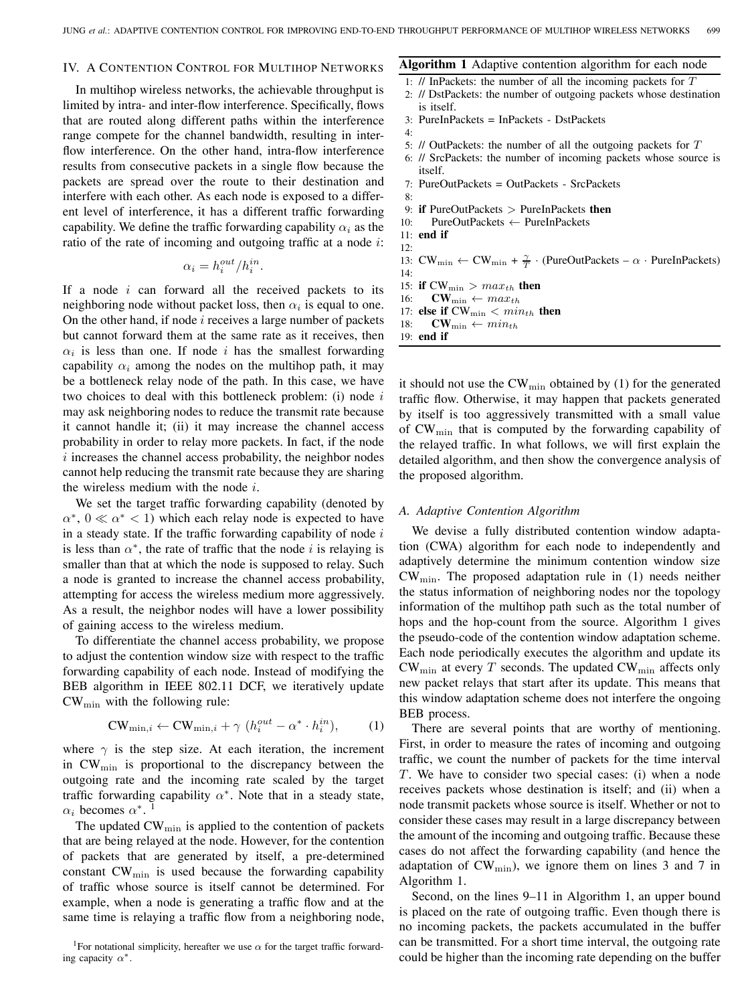## IV. A CONTENTION CONTROL FOR MULTIHOP NETWORKS

In multihop wireless networks, the achievable throughput is limited by intra- and inter-flow interference. Specifically, flows that are routed along different paths within the interference range compete for the channel bandwidth, resulting in interflow interference. On the other hand, intra-flow interference results from consecutive packets in a single flow because the packets are spread over the route to their destination and interfere with each other. As each node is exposed to a different level of interference, it has a different traffic forwarding capability. We define the traffic forwarding capability  $\alpha_i$  as the ratio of the rate of incoming and outgoing traffic at a node  $i$ .

$$
\alpha_i = h_i^{out} / h_i^{in}.
$$

If a node  $i$  can forward all the received packets to its neighboring node without packet loss, then  $\alpha_i$  is equal to one. On the other hand, if node  $i$  receives a large number of packets but cannot forward them at the same rate as it receives, then  $\alpha_i$  is less than one. If node *i* has the smallest forwarding capability  $\alpha_i$  among the nodes on the multihop path, it may be a bottleneck relay node of the path. In this case, we have two choices to deal with this bottleneck problem: (i) node  $i$ may ask neighboring nodes to reduce the transmit rate because it cannot handle it; (ii) it may increase the channel access probability in order to relay more packets. In fact, if the node  $i$  increases the channel access probability, the neighbor nodes cannot help reducing the transmit rate because they are sharing the wireless medium with the node  $i$ .

We set the target traffic forwarding capability (denoted by  $\alpha^*$ ,  $0 \ll \alpha^*$  < 1) which each relay node is expected to have in a steady state. If the traffic forwarding capability of node  $i$ is less than  $\alpha^*$ , the rate of traffic that the node *i* is relaying is smaller than that at which the node is supposed to relay. Such a node is granted to increase the channel access probability, attempting for access the wireless medium more aggressively. As a result, the neighbor nodes will have a lower possibility of gaining access to the wireless medium.

To differentiate the channel access probability, we propose to adjust the contention window size with respect to the traffic forwarding capability of each node. Instead of modifying the BEB algorithm in IEEE 802.11 DCF, we iteratively update  $CW_{\text{min}}$  with the following rule:

$$
CW_{\min,i} \leftarrow CW_{\min,i} + \gamma \ (h_i^{out} - \alpha^* \cdot h_i^{in}), \qquad (1)
$$

where  $\gamma$  is the step size. At each iteration, the increment in  $CW_{\text{min}}$  is proportional to the discrepancy between the outgoing rate and the incoming rate scaled by the target traffic forwarding capability  $\alpha^*$ . Note that in a steady state,  $\alpha_i$  becomes  $\alpha^*$ .

The updated  $CW_{\text{min}}$  is applied to the contention of packets that are being relayed at the node. However, for the contention of packets that are generated by itself, a pre-determined constant  $CW_{\min}$  is used because the forwarding capability of traffic whose source is itself cannot be determined. For example, when a node is generating a traffic flow and at the same time is relaying a traffic flow from a neighboring node,

## **Algorithm 1** Adaptive contention algorithm for each node

- 1:  $\text{/}$  InPackets: the number of all the incoming packets for  $\text{T}$
- 2: // DstPackets: the number of outgoing packets whose destination is itself.
- 3: PureInPackets = InPackets DstPackets
	-
- 5: // OutPackets: the number of all the outgoing packets for  $T$
- 6: // SrcPackets: the number of incoming packets whose source is itself.
- 7: PureOutPackets = OutPackets SrcPackets
- 8:

4:

- 9: **if** PureOutPackets > PureInPackets **then**
- 10: PureOutPackets ← PureInPackets
- 11: **end if**

12:

- 13:  $CW_{\min} \leftarrow CW_{\min} + \frac{\gamma}{T} \cdot (PureOutPackets \alpha \cdot PureInPackets)$
- 14: 15: **if**  $CW_{\min} > max_{th}$  **then**
- 16: **CW**<sub>min</sub>  $\leftarrow max_{th}$
- 17: **else if**  $CW_{\min} < min_{th}$  **then**
- 18: **CW**<sub>min</sub>  $\leftarrow min_{th}$

19: **end if**

it should not use the  $CW_{\text{min}}$  obtained by (1) for the generated traffic flow. Otherwise, it may happen that packets generated by itself is too aggressively transmitted with a small value of CWmin that is computed by the forwarding capability of the relayed traffic. In what follows, we will first explain the detailed algorithm, and then show the convergence analysis of the proposed algorithm.

#### *A. Adaptive Contention Algorithm*

We devise a fully distributed contention window adaptation (CWA) algorithm for each node to independently and adaptively determine the minimum contention window size  $CW_{min}$ . The proposed adaptation rule in  $(1)$  needs neither the status information of neighboring nodes nor the topology information of the multihop path such as the total number of hops and the hop-count from the source. Algorithm 1 gives the pseudo-code of the contention window adaptation scheme. Each node periodically executes the algorithm and update its  $CW_{\text{min}}$  at every T seconds. The updated  $CW_{\text{min}}$  affects only new packet relays that start after its update. This means that this window adaptation scheme does not interfere the ongoing BEB process.

There are several points that are worthy of mentioning. First, in order to measure the rates of incoming and outgoing traffic, we count the number of packets for the time interval . We have to consider two special cases: (i) when a node receives packets whose destination is itself; and (ii) when a node transmit packets whose source is itself. Whether or not to consider these cases may result in a large discrepancy between the amount of the incoming and outgoing traffic. Because these cases do not affect the forwarding capability (and hence the adaptation of  $CW_{\text{min}}$ ), we ignore them on lines 3 and 7 in Algorithm 1.

Second, on the lines 9–11 in Algorithm 1, an upper bound is placed on the rate of outgoing traffic. Even though there is no incoming packets, the packets accumulated in the buffer can be transmitted. For a short time interval, the outgoing rate could be higher than the incoming rate depending on the buffer

<sup>&</sup>lt;sup>1</sup>For notational simplicity, hereafter we use  $\alpha$  for the target traffic forwarding capacity  $\alpha^*$ .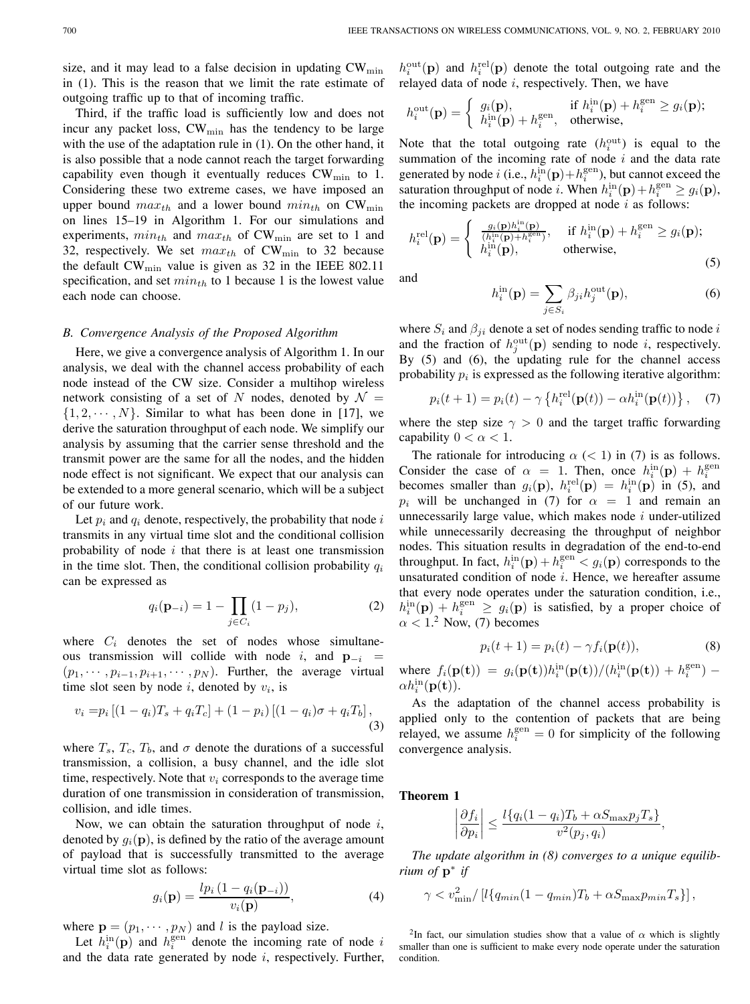Third, if the traffic load is sufficiently low and does not incur any packet loss,  $CW_{\text{min}}$  has the tendency to be large with the use of the adaptation rule in (1). On the other hand, it is also possible that a node cannot reach the target forwarding capability even though it eventually reduces  $CW_{\text{min}}$  to 1. Considering these two extreme cases, we have imposed an upper bound  $max_{th}$  and a lower bound  $min_{th}$  on CW<sub>min</sub> on lines 15–19 in Algorithm 1. For our simulations and experiments,  $min_{th}$  and  $max_{th}$  of CW<sub>min</sub> are set to 1 and 32, respectively. We set  $max_{th}$  of CW<sub>min</sub> to 32 because the default  $CW_{\text{min}}$  value is given as 32 in the IEEE 802.11 specification, and set  $min_{th}$  to 1 because 1 is the lowest value each node can choose.

#### *B. Convergence Analysis of the Proposed Algorithm*

Here, we give a convergence analysis of Algorithm 1. In our analysis, we deal with the channel access probability of each node instead of the CW size. Consider a multihop wireless network consisting of a set of N nodes, denoted by  $\mathcal{N} =$  $\{1, 2, \cdots, N\}$ . Similar to what has been done in [17], we derive the saturation throughput of each node. We simplify our analysis by assuming that the carrier sense threshold and the transmit power are the same for all the nodes, and the hidden node effect is not significant. We expect that our analysis can be extended to a more general scenario, which will be a subject of our future work.

Let  $p_i$  and  $q_i$  denote, respectively, the probability that node i transmits in any virtual time slot and the conditional collision probability of node  $i$  that there is at least one transmission in the time slot. Then, the conditional collision probability  $q_i$ can be expressed as

$$
q_i(\mathbf{p}_{-i}) = 1 - \prod_{j \in C_i} (1 - p_j),
$$
 (2)

where  $C_i$  denotes the set of nodes whose simultaneous transmission will collide with node i, and  $\mathbf{p}_{-i}$  =  $(p_1, \dots, p_{i-1}, p_{i+1}, \dots, p_N)$ . Further, the average virtual time slot seen by node  $i$ , denoted by  $v_i$ , is

$$
v_i = p_i [(1 - q_i)T_s + q_i T_c] + (1 - p_i) [(1 - q_i)\sigma + q_i T_b],
$$
\n(3)

where  $T_s$ ,  $T_c$ ,  $T_b$ , and  $\sigma$  denote the durations of a successful transmission, a collision, a busy channel, and the idle slot time, respectively. Note that  $v_i$  corresponds to the average time duration of one transmission in consideration of transmission, collision, and idle times.

Now, we can obtain the saturation throughput of node  $i$ , denoted by  $q_i(\mathbf{p})$ , is defined by the ratio of the average amount of payload that is successfully transmitted to the average virtual time slot as follows:

$$
g_i(\mathbf{p}) = \frac{lp_i\left(1 - q_i(\mathbf{p}_{-i})\right)}{v_i(\mathbf{p})},\tag{4}
$$

where  $\mathbf{p} = (p_1, \dots, p_N)$  and *l* is the payload size.

Let  $\bar{h}_i^{\text{in}}(\mathbf{p})$  and  $\bar{h}_i^{\text{gen}}$  denote the incoming rate of node i and the data rate generated by node  $i$ , respectively. Further,

 $h_i^{\text{out}}(\mathbf{p})$  and  $h_i^{\text{rel}}(\mathbf{p})$  denote the total outgoing rate and the relayed data of node  $i$ , respectively. Then, we have

$$
h_i^{\text{out}}(\mathbf{p}) = \begin{cases} g_i(\mathbf{p}), & \text{if } h_i^{\text{in}}(\mathbf{p}) + h_i^{\text{gen}} \ge g_i(\mathbf{p}); \\ h_i^{\text{in}}(\mathbf{p}) + h_i^{\text{gen}}, & \text{otherwise}, \end{cases}
$$

Note that the total outgoing rate  $(h_i^{\text{out}})$  is equal to the summation of the incoming rate of node  $i$  and the data rate generated by node *i* (i.e.,  $h_i^{\text{in}}(\mathbf{p}) + h_i^{\text{gen}}$ ), but cannot exceed the saturation throughput of node i. When  $h_i^{\text{in}}(\mathbf{p}) + h_i^{\text{gen}} \ge g_i(\mathbf{p})$ , the incoming packets are dropped at node  $i$  as follows:

$$
h_i^{\text{rel}}(\mathbf{p}) = \begin{cases} \frac{g_i(\mathbf{p})h_i^{\text{in}}(\mathbf{p})}{(h_i^{\text{in}}(\mathbf{p}) + h_i^{\text{gen}})}, & \text{if } h_i^{\text{in}}(\mathbf{p}) + h_i^{\text{gen}} \ge g_i(\mathbf{p});\\ h_i^{\text{in}}(\mathbf{p}), & \text{otherwise,} \end{cases}
$$
(5)

and

$$
h_i^{\text{in}}(\mathbf{p}) = \sum_{j \in S_i} \beta_{ji} h_j^{\text{out}}(\mathbf{p}),\tag{6}
$$

where  $S_i$  and  $\beta_{ji}$  denote a set of nodes sending traffic to node i and the fraction of  $h_j^{\text{out}}(\mathbf{p})$  sending to node i, respectively. By (5) and (6), the updating rule for the channel access probability  $p_i$  is expressed as the following iterative algorithm:

$$
p_i(t+1) = p_i(t) - \gamma \left\{ h_i^{\text{rel}}(\mathbf{p}(t)) - \alpha h_i^{\text{in}}(\mathbf{p}(t)) \right\}, \quad (7)
$$

where the step size  $\gamma > 0$  and the target traffic forwarding capability  $0 < \alpha < 1$ .

The rationale for introducing  $\alpha$  (< 1) in (7) is as follows. Consider the case of  $\alpha = 1$ . Then, once  $h_i^{\text{in}}(\mathbf{p}) + h_i^{\text{gen}}$ becomes smaller than  $g_i(\mathbf{p})$ ,  $h_i^{\text{rel}}(\mathbf{p}) = h_i^{\text{in}}(\mathbf{p})$  in (5), and  $p_i$  will be unchanged in (7) for  $\alpha = 1$  and remain an unnecessarily large value, which makes node  $i$  under-utilized while unnecessarily decreasing the throughput of neighbor nodes. This situation results in degradation of the end-to-end throughput. In fact,  $h_i^{\text{in}}(\mathbf{p}) + h_i^{\text{gen}} < g_i(\mathbf{p})$  corresponds to the unsaturated condition of node  $i$ . Hence, we hereafter assume that every node operates under the saturation condition, i.e.,  $h_i^{\text{in}}(\mathbf{p}) + h_i^{\text{gen}} \geq g_i(\mathbf{p})$  is satisfied, by a proper choice of  $\alpha < 1$ <sup>2</sup> Now, (7) becomes

$$
p_i(t+1) = p_i(t) - \gamma f_i(\mathbf{p}(t)),\tag{8}
$$

where  $f_i(\mathbf{p}(\mathbf{t})) = g_i(\mathbf{p}(\mathbf{t}))h_i^{\text{in}}(\mathbf{p}(\mathbf{t}))/(h_i^{\text{in}}(\mathbf{p}(\mathbf{t})) + h_i^{\text{gen}})$  - $\alpha h_i^{\text{in}}(\mathbf{p(t)}).$ 

As the adaptation of the channel access probability is applied only to the contention of packets that are being relayed, we assume  $h_i^{\text{gen}} = 0$  for simplicity of the following convergence analysis.

**Theorem 1**

$$
\left|\frac{\partial f_i}{\partial p_i}\right| \le \frac{l\{q_i(1-q_i)T_b + \alpha S_{\max}p_jT_s\}}{v^2(p_j, q_i)},
$$

*The update algorithm in (8) converges to a unique equilibrium of* **p**<sup>∗</sup> *if*

$$
\gamma < v_{\min}^2 / \left[l\{q_{min}(1-q_{min})T_b + \alpha S_{\max} p_{min} T_s\}\right],
$$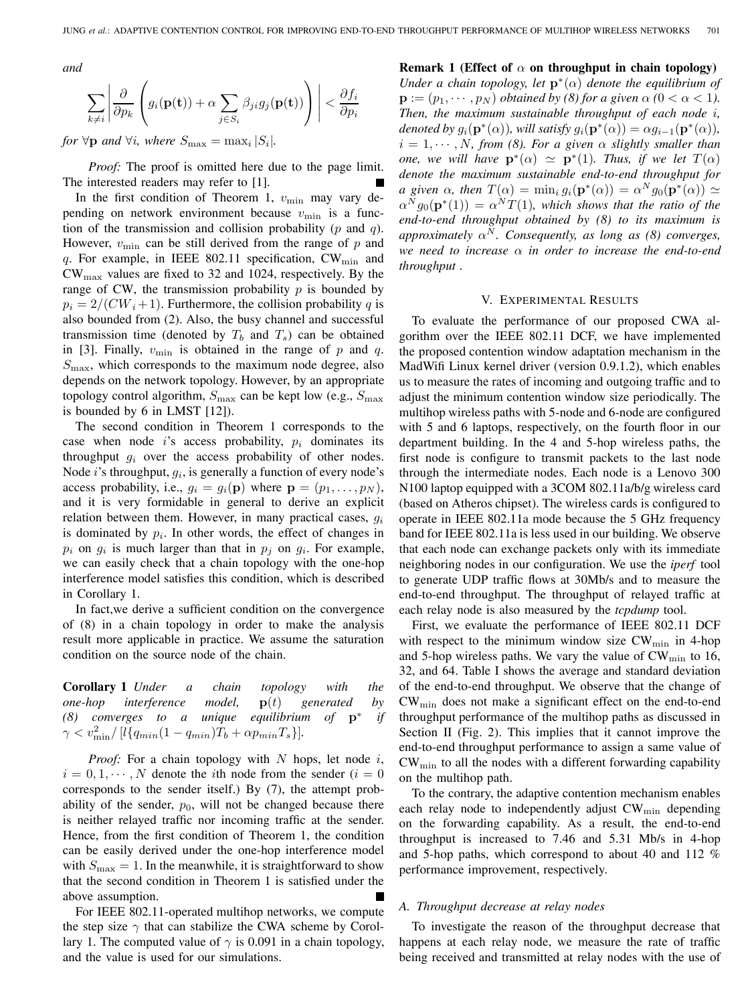*and*

$$
\sum_{k \neq i} \left| \frac{\partial}{\partial p_k} \left( g_i(\mathbf{p(t)}) + \alpha \sum_{j \in S_i} \beta_{ji} g_j(\mathbf{p(t)}) \right) \right| < \frac{\partial f_i}{\partial p_i}
$$

*for*  $\forall$ **p** *and*  $\forall i$ *, where*  $S_{\text{max}} = \max_i |S_i|$ *.* 

*Proof:* The proof is omitted here due to the page limit. The interested readers may refer to [1].

In the first condition of Theorem 1,  $v_{\text{min}}$  may vary depending on network environment because  $v_{\text{min}}$  is a function of the transmission and collision probability ( $p$  and  $q$ ). However,  $v_{\text{min}}$  can be still derived from the range of  $p$  and q. For example, in IEEE 802.11 specification,  $CW_{\text{min}}$  and  $CW_{\text{max}}$  values are fixed to 32 and 1024, respectively. By the range of CW, the transmission probability  $p$  is bounded by  $p_i = 2/(CW_i + 1)$ . Furthermore, the collision probability q is also bounded from (2). Also, the busy channel and successful transmission time (denoted by  $T_b$  and  $T_s$ ) can be obtained in [3]. Finally,  $v_{\text{min}}$  is obtained in the range of p and q.  $S_{\text{max}}$ , which corresponds to the maximum node degree, also depends on the network topology. However, by an appropriate topology control algorithm,  $S_{\text{max}}$  can be kept low (e.g.,  $S_{\text{max}}$ ) is bounded by 6 in LMST [12]).

The second condition in Theorem 1 corresponds to the case when node i's access probability,  $p_i$  dominates its throughput  $g_i$  over the access probability of other nodes. Node *i*'s throughput,  $q_i$ , is generally a function of every node's access probability, i.e.,  $g_i = g_i(\mathbf{p})$  where  $\mathbf{p} = (p_1, \ldots, p_N)$ , and it is very formidable in general to derive an explicit relation between them. However, in many practical cases,  $q_i$ is dominated by  $p_i$ . In other words, the effect of changes in  $p_i$  on  $q_i$  is much larger than that in  $p_i$  on  $q_i$ . For example, we can easily check that a chain topology with the one-hop interference model satisfies this condition, which is described in Corollary 1.

In fact,we derive a sufficient condition on the convergence of (8) in a chain topology in order to make the analysis result more applicable in practice. We assume the saturation condition on the source node of the chain.

**Corollary 1** *Under a chain topology with the one-hop interference model*,  $\mathbf{p}(t)$  *generated by (8) converges to a unique equilibrium of* **p**<sup>∗</sup> *if*  $\gamma < v_{\min}^2 / [l \{ q_{min} (1 - q_{min}) T_b + \alpha p_{min} T_s \}].$ 

*Proof:* For a chain topology with  $N$  hops, let node  $i$ ,  $i = 0, 1, \dots, N$  denote the *i*th node from the sender  $(i = 0, 1, \dots, N)$ corresponds to the sender itself.) By (7), the attempt probability of the sender,  $p_0$ , will not be changed because there is neither relayed traffic nor incoming traffic at the sender. Hence, from the first condition of Theorem 1, the condition can be easily derived under the one-hop interference model with  $S_{\text{max}} = 1$ . In the meanwhile, it is straightforward to show that the second condition in Theorem 1 is satisfied under the above assumption.

For IEEE 802.11-operated multihop networks, we compute the step size  $\gamma$  that can stabilize the CWA scheme by Corollary 1. The computed value of  $\gamma$  is 0.091 in a chain topology, and the value is used for our simulations.

**Remark 1** (Effect of  $\alpha$  on throughput in chain topology) *Under a chain topology, let*  $\mathbf{p}^*(\alpha)$  *denote the equilibrium of*  $\mathbf{p} := (p_1, \dots, p_N)$  *obtained by (8) for a given*  $\alpha$  (0 <  $\alpha$  < 1). *Then, the maximum sustainable throughput of each node <i>i*, *denoted by*  $g_i(\mathbf{p}^*(\alpha))$ *, will satisfy*  $g_i(\mathbf{p}^*(\alpha)) = \alpha g_{i-1}(\mathbf{p}^*(\alpha))$ *,*  $i = 1, \dots, N$ , from (8). For a given  $\alpha$  slightly smaller than *one, we will have*  $p^*(\alpha) \simeq p^*(1)$ *. Thus, if we let*  $T(\alpha)$ *denote the maximum sustainable end-to-end throughput for a* given  $\alpha$ , then  $T(\alpha) = \min_i g_i(\mathbf{p}^*(\alpha)) = \alpha^N g_0(\mathbf{p}^*(\alpha)) \simeq$  $\alpha^N g_0(\mathbf{p}^*(1)) = \alpha^N T(1)$ , which shows that the ratio of the *end-to-end throughput obtained by (8) to its maximum is approximately*  $\alpha^N$ . Consequently, as long as (8) converges, *we need to increase in order to increase the end-to-end throughput .*

#### V. EXPERIMENTAL RESULTS

To evaluate the performance of our proposed CWA algorithm over the IEEE 802.11 DCF, we have implemented the proposed contention window adaptation mechanism in the MadWifi Linux kernel driver (version 0.9.1.2), which enables us to measure the rates of incoming and outgoing traffic and to adjust the minimum contention window size periodically. The multihop wireless paths with 5-node and 6-node are configured with 5 and 6 laptops, respectively, on the fourth floor in our department building. In the 4 and 5-hop wireless paths, the first node is configure to transmit packets to the last node through the intermediate nodes. Each node is a Lenovo 300 N100 laptop equipped with a 3COM 802.11a/b/g wireless card (based on Atheros chipset). The wireless cards is configured to operate in IEEE 802.11a mode because the 5 GHz frequency band for IEEE 802.11a is less used in our building. We observe that each node can exchange packets only with its immediate neighboring nodes in our configuration. We use the *iperf* tool to generate UDP traffic flows at 30Mb/s and to measure the end-to-end throughput. The throughput of relayed traffic at each relay node is also measured by the *tcpdump* tool.

First, we evaluate the performance of IEEE 802.11 DCF with respect to the minimum window size  $CW_{\text{min}}$  in 4-hop and 5-hop wireless paths. We vary the value of  $CW_{\text{min}}$  to 16, 32, and 64. Table I shows the average and standard deviation of the end-to-end throughput. We observe that the change of  $CW_{\text{min}}$  does not make a significant effect on the end-to-end throughput performance of the multihop paths as discussed in Section II (Fig. 2). This implies that it cannot improve the end-to-end throughput performance to assign a same value of  $CW_{\text{min}}$  to all the nodes with a different forwarding capability on the multihop path.

To the contrary, the adaptive contention mechanism enables each relay node to independently adjust  $CW_{\min}$  depending on the forwarding capability. As a result, the end-to-end throughput is increased to 7.46 and 5.31 Mb/s in 4-hop and 5-hop paths, which correspond to about 40 and 112 % performance improvement, respectively.

## *A. Throughput decrease at relay nodes*

To investigate the reason of the throughput decrease that happens at each relay node, we measure the rate of traffic being received and transmitted at relay nodes with the use of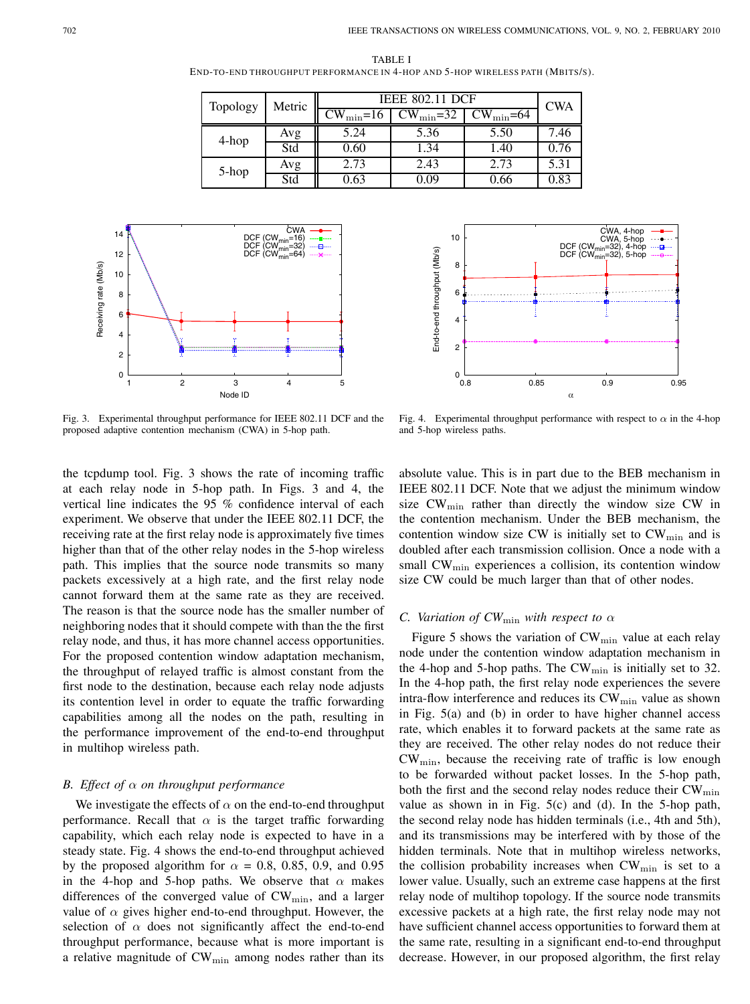TABLE I END-TO-END THROUGHPUT PERFORMANCE IN 4-HOP AND 5-HOP WIRELESS PATH (MBITS/S).

| Topology | Metric | <b>IEEE 802.11 DCF</b> |                                                                      |      | <b>CWA</b> |
|----------|--------|------------------------|----------------------------------------------------------------------|------|------------|
|          |        |                        | $CW_{\text{min}} = 16$ $CW_{\text{min}} = 32$ $CW_{\text{min}} = 64$ |      |            |
| 4-hop    | Avg    | 5.24                   | 5.36                                                                 | 5.50 | 7.46       |
|          | Std    | 0.60                   | 1.34                                                                 | 1.40 | 0.76       |
| 5-hop    | Avg    | 2.73                   | 2.43                                                                 | 2.73 | 5.31       |
|          | Std    | 0.63                   | 0.09                                                                 | 0.66 | 0.83       |



 $CWA$ , 4-hop<br> $CWA$ , 5-hop<br> $=32$ ), 4-hop 10 CWA, 5-hop<br>DCF (CW<sub>min</sub>=32), 4-hop<br>DCF (CW<sub>min</sub>=32), 5-hop End-to-end throughput (Mb/s) End-to-end throughput (Mb/s) 8 6 4 2  $_{0.8}^{\circ}$  0.8 0.85 0.9 0.95 α

Fig. 3. Experimental throughput performance for IEEE 802.11 DCF and the proposed adaptive contention mechanism (CWA) in 5-hop path.

Fig. 4. Experimental throughput performance with respect to  $\alpha$  in the 4-hop and 5-hop wireless paths.

the tcpdump tool. Fig. 3 shows the rate of incoming traffic at each relay node in 5-hop path. In Figs. 3 and 4, the vertical line indicates the 95 % confidence interval of each experiment. We observe that under the IEEE 802.11 DCF, the receiving rate at the first relay node is approximately five times higher than that of the other relay nodes in the 5-hop wireless path. This implies that the source node transmits so many packets excessively at a high rate, and the first relay node cannot forward them at the same rate as they are received. The reason is that the source node has the smaller number of neighboring nodes that it should compete with than the the first relay node, and thus, it has more channel access opportunities. For the proposed contention window adaptation mechanism, the throughput of relayed traffic is almost constant from the first node to the destination, because each relay node adjusts its contention level in order to equate the traffic forwarding capabilities among all the nodes on the path, resulting in the performance improvement of the end-to-end throughput in multihop wireless path.

# *B. Effect of on throughput performance*

We investigate the effects of  $\alpha$  on the end-to-end throughput performance. Recall that  $\alpha$  is the target traffic forwarding capability, which each relay node is expected to have in a steady state. Fig. 4 shows the end-to-end throughput achieved by the proposed algorithm for  $\alpha = 0.8, 0.85, 0.9,$  and 0.95 in the 4-hop and 5-hop paths. We observe that  $\alpha$  makes differences of the converged value of  $CW_{\text{min}}$ , and a larger value of  $\alpha$  gives higher end-to-end throughput. However, the selection of  $\alpha$  does not significantly affect the end-to-end throughput performance, because what is more important is a relative magnitude of  $CW_{\text{min}}$  among nodes rather than its

absolute value. This is in part due to the BEB mechanism in IEEE 802.11 DCF. Note that we adjust the minimum window size  $CW_{\text{min}}$  rather than directly the window size CW in the contention mechanism. Under the BEB mechanism, the contention window size CW is initially set to  $CW_{\min}$  and is doubled after each transmission collision. Once a node with a small CW<sub>min</sub> experiences a collision, its contention window size CW could be much larger than that of other nodes.

# *C. Variation of CW*<sub>min</sub> with respect to  $\alpha$

Figure 5 shows the variation of  $CW_{\text{min}}$  value at each relay node under the contention window adaptation mechanism in the 4-hop and 5-hop paths. The  $CW_{\text{min}}$  is initially set to 32. In the 4-hop path, the first relay node experiences the severe intra-flow interference and reduces its  $CW_{\min}$  value as shown in Fig. 5(a) and (b) in order to have higher channel access rate, which enables it to forward packets at the same rate as they are received. The other relay nodes do not reduce their  $CW_{\text{min}}$ , because the receiving rate of traffic is low enough to be forwarded without packet losses. In the 5-hop path, both the first and the second relay nodes reduce their  $CW_{\min}$ value as shown in in Fig. 5(c) and (d). In the 5-hop path, the second relay node has hidden terminals (i.e., 4th and 5th), and its transmissions may be interfered with by those of the hidden terminals. Note that in multihop wireless networks, the collision probability increases when  $CW_{\min}$  is set to a lower value. Usually, such an extreme case happens at the first relay node of multihop topology. If the source node transmits excessive packets at a high rate, the first relay node may not have sufficient channel access opportunities to forward them at the same rate, resulting in a significant end-to-end throughput decrease. However, in our proposed algorithm, the first relay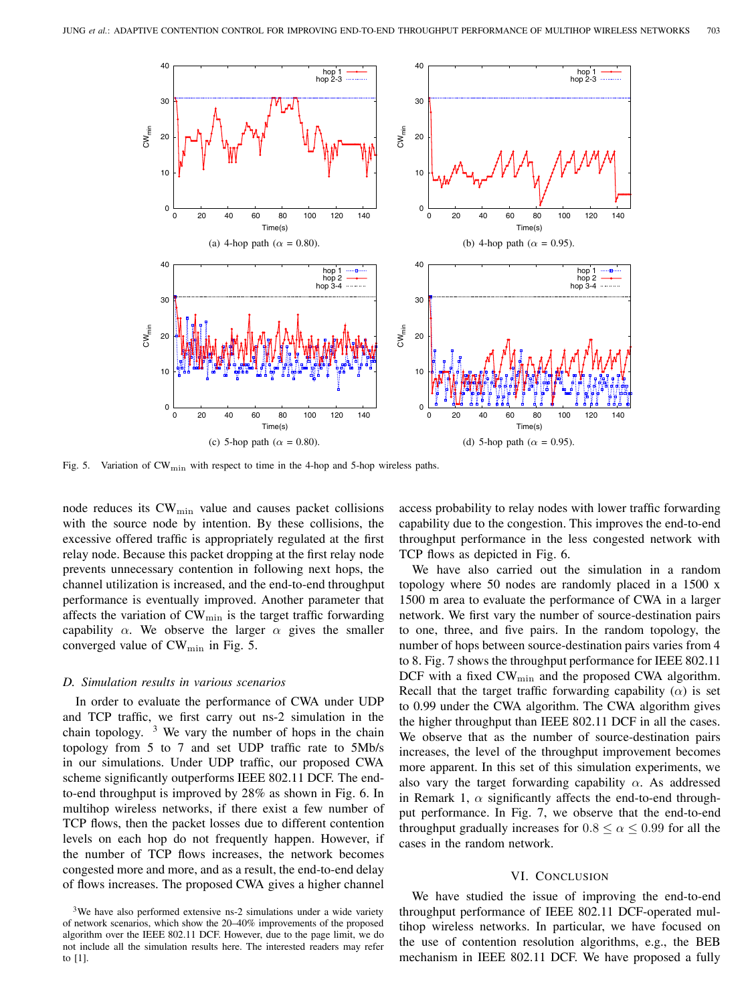

Fig. 5. Variation of  $CW_{\text{min}}$  with respect to time in the 4-hop and 5-hop wireless paths.

node reduces its  $CW_{\text{min}}$  value and causes packet collisions with the source node by intention. By these collisions, the excessive offered traffic is appropriately regulated at the first relay node. Because this packet dropping at the first relay node prevents unnecessary contention in following next hops, the channel utilization is increased, and the end-to-end throughput performance is eventually improved. Another parameter that affects the variation of  $CW_{\text{min}}$  is the target traffic forwarding capability  $\alpha$ . We observe the larger  $\alpha$  gives the smaller converged value of  $CW_{\text{min}}$  in Fig. 5.

## *D. Simulation results in various scenarios*

In order to evaluate the performance of CWA under UDP and TCP traffic, we first carry out ns-2 simulation in the chain topology.  $3$  We vary the number of hops in the chain topology from 5 to 7 and set UDP traffic rate to 5Mb/s in our simulations. Under UDP traffic, our proposed CWA scheme significantly outperforms IEEE 802.11 DCF. The endto-end throughput is improved by 28% as shown in Fig. 6. In multihop wireless networks, if there exist a few number of TCP flows, then the packet losses due to different contention levels on each hop do not frequently happen. However, if the number of TCP flows increases, the network becomes congested more and more, and as a result, the end-to-end delay of flows increases. The proposed CWA gives a higher channel

access probability to relay nodes with lower traffic forwarding capability due to the congestion. This improves the end-to-end throughput performance in the less congested network with TCP flows as depicted in Fig. 6.

We have also carried out the simulation in a random topology where 50 nodes are randomly placed in a 1500 x 1500 m area to evaluate the performance of CWA in a larger network. We first vary the number of source-destination pairs to one, three, and five pairs. In the random topology, the number of hops between source-destination pairs varies from 4 to 8. Fig. 7 shows the throughput performance for IEEE 802.11 DCF with a fixed  $CW_{\text{min}}$  and the proposed CWA algorithm. Recall that the target traffic forwarding capability  $(\alpha)$  is set to 0.99 under the CWA algorithm. The CWA algorithm gives the higher throughput than IEEE 802.11 DCF in all the cases. We observe that as the number of source-destination pairs increases, the level of the throughput improvement becomes more apparent. In this set of this simulation experiments, we also vary the target forwarding capability  $\alpha$ . As addressed in Remark 1,  $\alpha$  significantly affects the end-to-end throughput performance. In Fig. 7, we observe that the end-to-end throughput gradually increases for  $0.8 \le \alpha \le 0.99$  for all the cases in the random network.

### VI. CONCLUSION

We have studied the issue of improving the end-to-end throughput performance of IEEE 802.11 DCF-operated multihop wireless networks. In particular, we have focused on the use of contention resolution algorithms, e.g., the BEB mechanism in IEEE 802.11 DCF. We have proposed a fully

<sup>&</sup>lt;sup>3</sup>We have also performed extensive ns-2 simulations under a wide variety of network scenarios, which show the 20–40% improvements of the proposed algorithm over the IEEE 802.11 DCF. However, due to the page limit, we do not include all the simulation results here. The interested readers may refer to [1].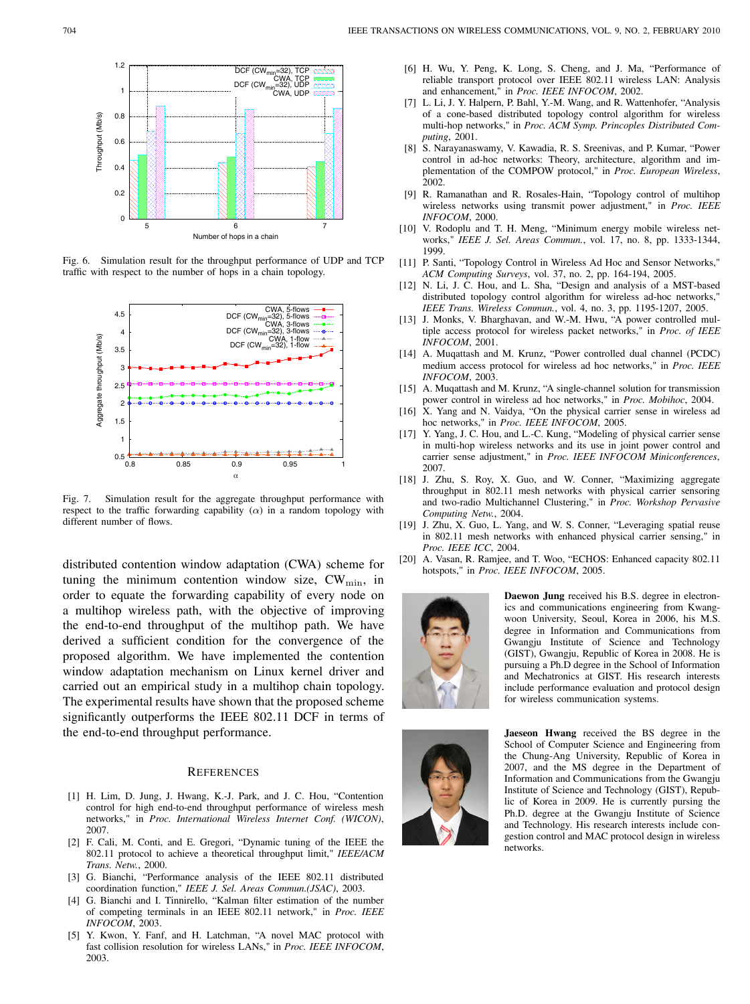

Fig. 6. Simulation result for the throughput performance of UDP and TCP traffic with respect to the number of hops in a chain topology.



Fig. 7. Simulation result for the aggregate throughput performance with respect to the traffic forwarding capability  $(\alpha)$  in a random topology with different number of flows.

distributed contention window adaptation (CWA) scheme for tuning the minimum contention window size,  $CW_{\min}$ , in order to equate the forwarding capability of every node on a multihop wireless path, with the objective of improving the end-to-end throughput of the multihop path. We have derived a sufficient condition for the convergence of the proposed algorithm. We have implemented the contention window adaptation mechanism on Linux kernel driver and carried out an empirical study in a multihop chain topology. The experimental results have shown that the proposed scheme significantly outperforms the IEEE 802.11 DCF in terms of the end-to-end throughput performance.

#### **REFERENCES**

- [1] H. Lim, D. Jung, J. Hwang, K.-J. Park, and J. C. Hou, "Contention control for high end-to-end throughput performance of wireless mesh networks," in *Proc. International Wireless Internet Conf. (WICON)*, 2007.
- [2] F. Cali, M. Conti, and E. Gregori, "Dynamic tuning of the IEEE the 802.11 protocol to achieve a theoretical throughput limit," *IEEE/ACM Trans. Netw.*, 2000.
- [3] G. Bianchi, "Performance analysis of the IEEE 802.11 distributed coordination function," *IEEE J. Sel. Areas Commun.(JSAC)*, 2003.
- [4] G. Bianchi and I. Tinnirello, "Kalman filter estimation of the number of competing terminals in an IEEE 802.11 network," in *Proc. IEEE INFOCOM*, 2003.
- [5] Y. Kwon, Y. Fanf, and H. Latchman, "A novel MAC protocol with fast collision resolution for wireless LANs," in *Proc. IEEE INFOCOM*, 2003.
- [6] H. Wu, Y. Peng, K. Long, S. Cheng, and J. Ma, "Performance of reliable transport protocol over IEEE 802.11 wireless LAN: Analysis and enhancement," in *Proc. IEEE INFOCOM*, 2002.
- [7] L. Li, J. Y. Halpern, P. Bahl, Y.-M. Wang, and R. Wattenhofer, "Analysis of a cone-based distributed topology control algorithm for wireless multi-hop networks," in *Proc. ACM Symp. Princoples Distributed Computing*, 2001.
- [8] S. Narayanaswamy, V. Kawadia, R. S. Sreenivas, and P. Kumar, "Power control in ad-hoc networks: Theory, architecture, algorithm and implementation of the COMPOW protocol," in *Proc. European Wireless*, 2002.
- [9] R. Ramanathan and R. Rosales-Hain, "Topology control of multihop wireless networks using transmit power adjustment," in *Proc. IEEE INFOCOM*, 2000.
- [10] V. Rodoplu and T. H. Meng, "Minimum energy mobile wireless networks," *IEEE J. Sel. Areas Commun.*, vol. 17, no. 8, pp. 1333-1344, 1999.
- [11] P. Santi, "Topology Control in Wireless Ad Hoc and Sensor Networks," *ACM Computing Surveys*, vol. 37, no. 2, pp. 164-194, 2005.
- [12] N. Li, J. C. Hou, and L. Sha, "Design and analysis of a MST-based distributed topology control algorithm for wireless ad-hoc networks," *IEEE Trans. Wireless Commun.*, vol. 4, no. 3, pp. 1195-1207, 2005.
- [13] J. Monks, V. Bharghavan, and W.-M. Hwu, "A power controlled multiple access protocol for wireless packet networks," in *Proc. of IEEE INFOCOM*, 2001.
- [14] A. Muqattash and M. Krunz, "Power controlled dual channel (PCDC) medium access protocol for wireless ad hoc networks," in *Proc. IEEE INFOCOM*, 2003.
- [15] A. Muqattash and M. Krunz, "A single-channel solution for transmission power control in wireless ad hoc networks," in *Proc. Mobihoc*, 2004.
- [16] X. Yang and N. Vaidya, "On the physical carrier sense in wireless ad hoc networks," in *Proc. IEEE INFOCOM*, 2005.
- [17] Y. Yang, J. C. Hou, and L.-C. Kung, "Modeling of physical carrier sense in multi-hop wireless networks and its use in joint power control and carrier sense adjustment," in *Proc. IEEE INFOCOM Miniconferences*, 2007.
- [18] J. Zhu, S. Roy, X. Guo, and W. Conner, "Maximizing aggregate throughput in 802.11 mesh networks with physical carrier sensoring and two-radio Multichannel Clustering," in *Proc. Workshop Pervasive Computing Netw.*, 2004.
- [19] J. Zhu, X. Guo, L. Yang, and W. S. Conner, "Leveraging spatial reuse in 802.11 mesh networks with enhanced physical carrier sensing," in *Proc. IEEE ICC*, 2004.
- [20] A. Vasan, R. Ramjee, and T. Woo, "ECHOS: Enhanced capacity 802.11 hotspots," in *Proc. IEEE INFOCOM*, 2005.



**Daewon Jung** received his B.S. degree in electronics and communications engineering from Kwangwoon University, Seoul, Korea in 2006, his M.S. degree in Information and Communications from Gwangju Institute of Science and Technology (GIST), Gwangju, Republic of Korea in 2008. He is pursuing a Ph.D degree in the School of Information and Mechatronics at GIST. His research interests include performance evaluation and protocol design for wireless communication systems.



**Jaeseon Hwang** received the BS degree in the School of Computer Science and Engineering from the Chung-Ang University, Republic of Korea in 2007, and the MS degree in the Department of Information and Communications from the Gwangju Institute of Science and Technology (GIST), Republic of Korea in 2009. He is currently pursing the Ph.D. degree at the Gwangju Institute of Science and Technology. His research interests include congestion control and MAC protocol design in wireless networks.